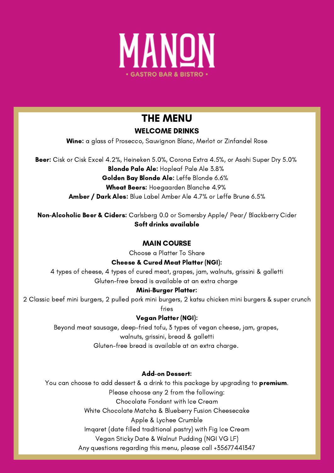

# THE MENU

## WELCOME DRINKS

Wine: a glass of Prosecco, Sauvignon Blanc, Merlot or Zinfandel Rose

Beer: Cisk or Cisk Excel 4.2%, Heineken 5.0%, Corona Extra 4.5%, or Asahi Super Dry 5.0% Blonde Pale Ale: Hopleaf Pale Ale 3.8% Golden Bay Blonde Ale: Leffe Blonde 6.6% Wheat Beers: Hoegaarden Blanche 4.9% Amber / Dark Ales: Blue Label Amber Ale 4.7% or Leffe Brune 6.5%

Non-Alcoholic Beer & Ciders: Carlsberg 0.0 or Somersby Apple/ Pear/ Blackberry Cider Soft drinks available

### MAIN COURSE

Choose a Platter To Share

#### Cheese & Cured Meat Platter (NGI):

4 types of cheese, 4 types of cured meat, grapes, jam, walnuts, grissini & galletti Gluten-free bread is available at an extra charge

#### Mini-Burger Platter:

You can choose to add dessert & a drink to this package by upgrading to **premium**. Please choose any 2 from the following: Chocolate Fondant with Ice Cream White Chocolate Matcha & Blueberry Fusion Cheesecake Apple & Lychee Crumble Imqaret (date filled traditional pastry) with Fig Ice Cream Vegan Sticky Date & Walnut Pudding (NGI VG LF) Any questions regarding this menu, please call +35677441347

2 Classic beef mini burgers, 2 pulled pork mini burgers, 2 katsu chicken mini burgers & super crunch fries

#### Vegan Platter (NGI):

Beyond meat sausage, deep-fried tofu, 3 types of vegan cheese, jam, grapes, walnuts, grissini, bread & galletti Gluten-free bread is available at an extra charge.

#### Add-on Dessert: